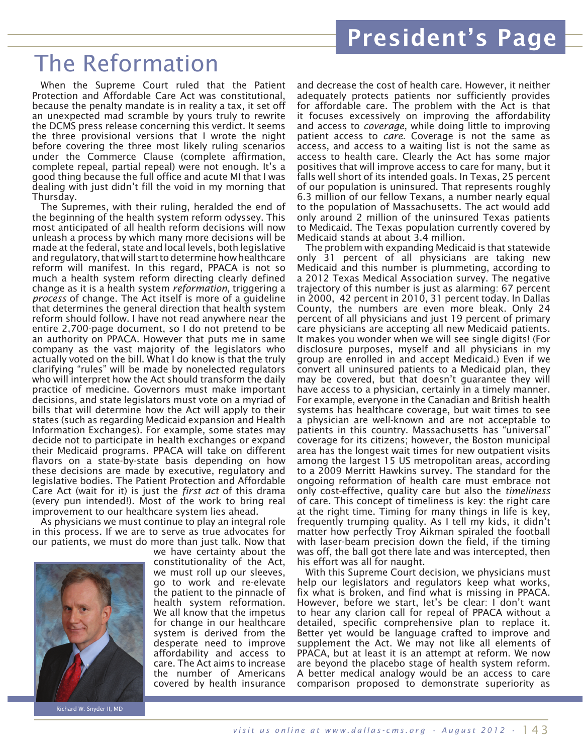## The Reformation

When the Supreme Court ruled that the Patient Protection and Affordable Care Act was constitutional, because the penalty mandate is in reality a tax, it set off an unexpected mad scramble by yours truly to rewrite the DCMS press release concerning this verdict. It seems the three provisional versions that I wrote the night before covering the three most likely ruling scenarios under the Commerce Clause (complete affirmation, complete repeal, partial repeal) were not enough. It's a good thing because the full office and acute MI that I was dealing with just didn't fill the void in my morning that Thursday.

The Supremes, with their ruling, heralded the end of the beginning of the health system reform odyssey. This most anticipated of all health reform decisions will now unleash a process by which many more decisions will be made at the federal, state and local levels, both legislative and regulatory, that will start to determine how healthcare reform will manifest. In this regard, PPACA is not so much a health system reform directing clearly defined change as it is a health system *reformation*, triggering a *process* of change. The Act itself is more of a guideline that determines the general direction that health system reform should follow. I have not read anywhere near the entire 2,700-page document, so I do not pretend to be an authority on PPACA. However that puts me in same company as the vast majority of the legislators who actually voted on the bill. What I do know is that the truly clarifying "rules" will be made by nonelected regulators who will interpret how the Act should transform the daily practice of medicine. Governors must make important decisions, and state legislators must vote on a myriad of bills that will determine how the Act will apply to their states (such as regarding Medicaid expansion and Health Information Exchanges). For example, some states may decide not to participate in health exchanges or expand their Medicaid programs. PPACA will take on different flavors on a state-by-state basis depending on how these decisions are made by executive, regulatory and legislative bodies. The Patient Protection and Affordable Care Act (wait for it) is just the *first act* of this drama (every pun intended!). Most of the work to bring real improvement to our healthcare system lies ahead.

As physicians we must continue to play an integral role in this process. If we are to serve as true advocates for our patients, we must do more than just talk. Now that



Richard W. Snyder II, MD

we have certainty about the constitutionality of the Act, we must roll up our sleeves, go to work and re-elevate the patient to the pinnacle of health system reformation. We all know that the impetus for change in our healthcare system is derived from the desperate need to improve affordability and access to care. The Act aims to increase the number of Americans covered by health insurance

and decrease the cost of health care. However, it neither adequately protects patients nor sufficiently provides for affordable care. The problem with the Act is that it focuses excessively on improving the affordability and access to *coverage*, while doing little to improving patient access to *care*. Coverage is not the same as access, and access to a waiting list is not the same as access to health care. Clearly the Act has some major positives that will improve access to care for many, but it falls well short of its intended goals. In Texas, 25 percent of our population is uninsured. That represents roughly 6.3 million of our fellow Texans, a number nearly equal to the population of Massachusetts. The act would add only around 2 million of the uninsured Texas patients to Medicaid. The Texas population currently covered by Medicaid stands at about 3.4 million.

The problem with expanding Medicaid is that statewide only 31 percent of all physicians are taking new Medicaid and this number is plummeting, according to a 2012 Texas Medical Association survey. The negative trajectory of this number is just as alarming: 67 percent in 2000, 42 percent in 2010, 31 percent today. In Dallas County, the numbers are even more bleak. Only 24 percent of all physicians and just 19 percent of primary care physicians are accepting all new Medicaid patients. It makes you wonder when we will see single digits! (For disclosure purposes, myself and all physicians in my group are enrolled in and accept Medicaid.) Even if we convert all uninsured patients to a Medicaid plan, they may be covered, but that doesn't guarantee they will have access to a physician, certainly in a timely manner. For example, everyone in the Canadian and British health systems has healthcare coverage, but wait times to see a physician are well-known and are not acceptable to patients in this country. Massachusetts has "universal" coverage for its citizens; however, the Boston municipal area has the longest wait times for new outpatient visits among the largest 15 US metropolitan areas, according to a 2009 Merritt Hawkins survey. The standard for the ongoing reformation of health care must embrace not only cost-effective, quality care but also the *timeliness*  of care. This concept of timeliness is key: the right care at the right time. Timing for many things in life is key, frequently trumping quality. As I tell my kids, it didn't matter how perfectly Troy Aikman spiraled the football with laser-beam precision down the field, if the timing was off, the ball got there late and was intercepted, then his effort was all for naught.

With this Supreme Court decision, we physicians must help our legislators and regulators keep what works, fix what is broken, and find what is missing in PPACA. However, before we start, let's be clear: I don't want to hear any clarion call for repeal of PPACA without a detailed, specific comprehensive plan to replace it. Better yet would be language crafted to improve and supplement the Act. We may not like all elements of PPACA, but at least it is an attempt at reform. We now are beyond the placebo stage of health system reform. A better medical analogy would be an access to care comparison proposed to demonstrate superiority as